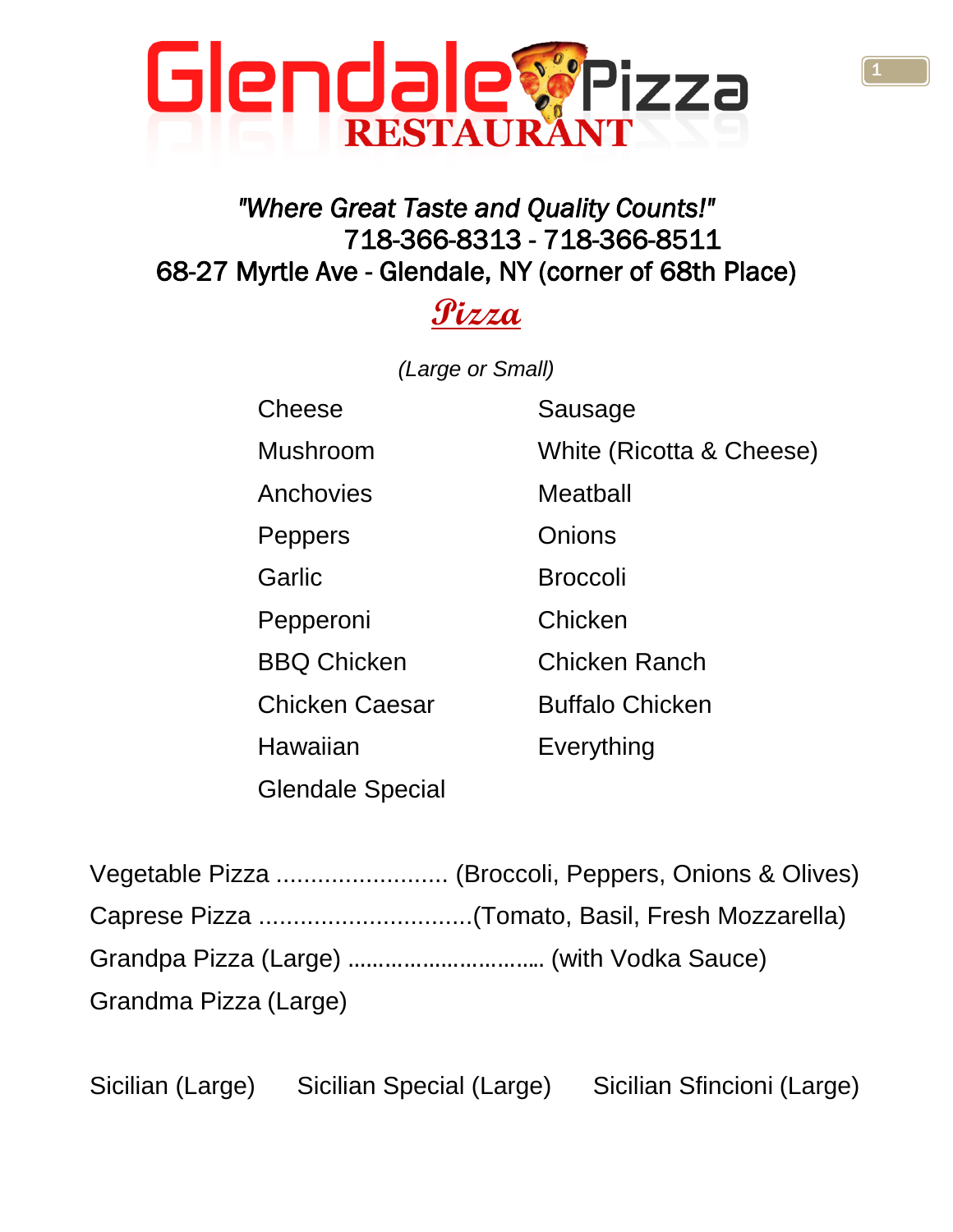

### *"Where Great Taste and Quality Counts!"*  718-366-8313 - 718-366-8511 68-27 Myrtle Ave - Glendale, NY (corner of 68th Place)

## **Pizza**

*(Large or Small)*

Cheese Sausage Anchovies Meatball Peppers **Onions** Garlic **Broccoli** Pepperoni Chicken

Glendale Special

Mushroom White (Ricotta & Cheese) BBQ Chicken Chicken Ranch Chicken Caesar Buffalo Chicken

Hawaiian Everything

| Grandma Pizza (Large) |  |
|-----------------------|--|

Sicilian (Large) Sicilian Special (Large) Sicilian Sfincioni (Large)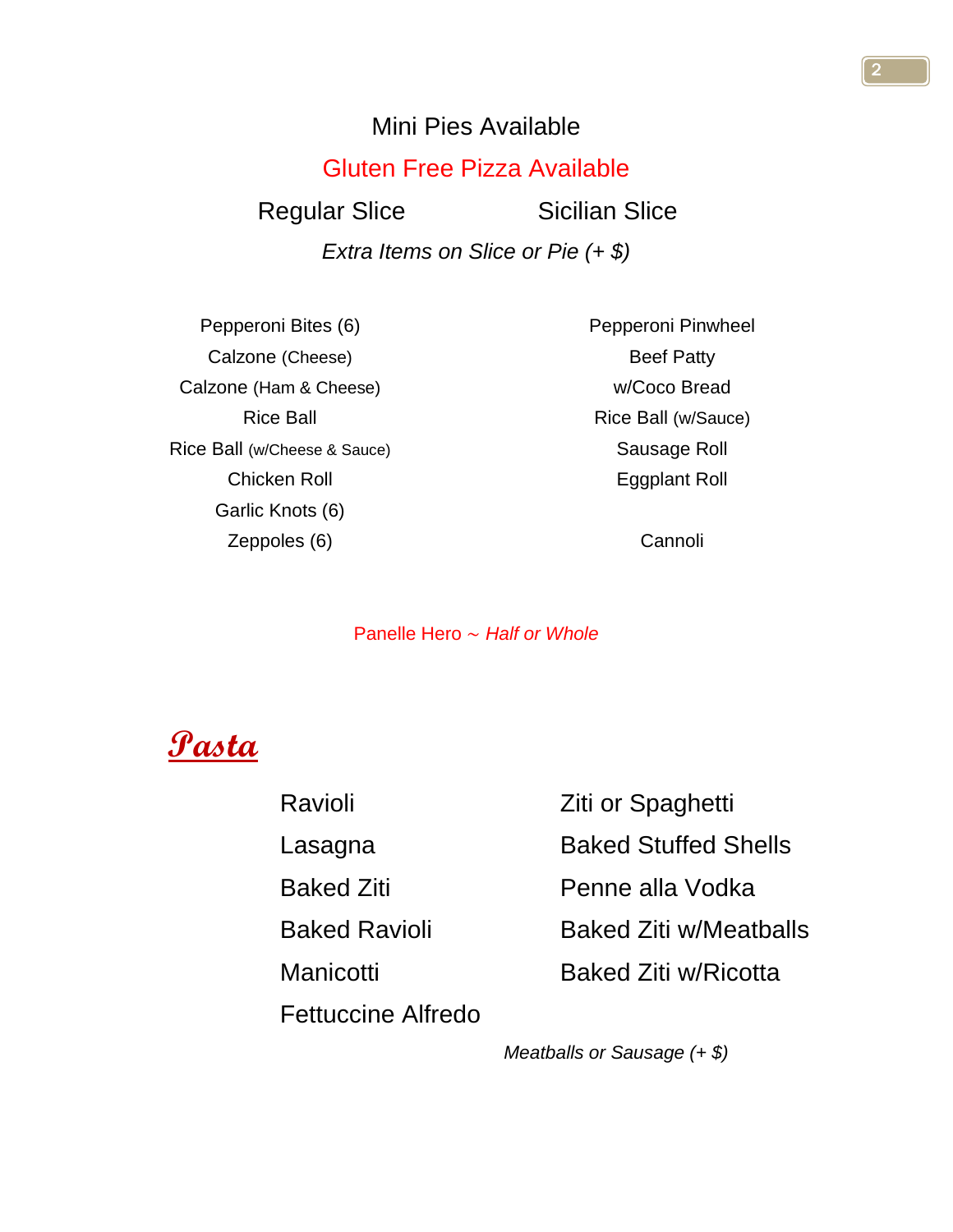### Mini Pies Available

### Gluten Free Pizza Available

Regular Slice Sicilian Slice

*Extra Items on Slice or Pie (+ \$)*

Pepperoni Bites (6) Calzone (Cheese) Calzone (Ham & Cheese) Rice Ball Rice Ball (w/Cheese & Sauce) Chicken Roll Garlic Knots (6) Zeppoles (6)

Pepperoni Pinwheel Beef Patty w/Coco Bread Rice Ball (w/Sauce) Sausage Roll Eggplant Roll

Cannoli

Panelle Hero ~ *Half or Whole*



Fettuccine Alfredo

Ravioli **Ziti or Spaghetti** Lasagna **Baked Stuffed Shells** Baked Ziti **Penne alla Vodka** Baked Ravioli Baked Ziti w/Meatballs Manicotti Baked Ziti w/Ricotta

*Meatballs or Sausage (+ \$)*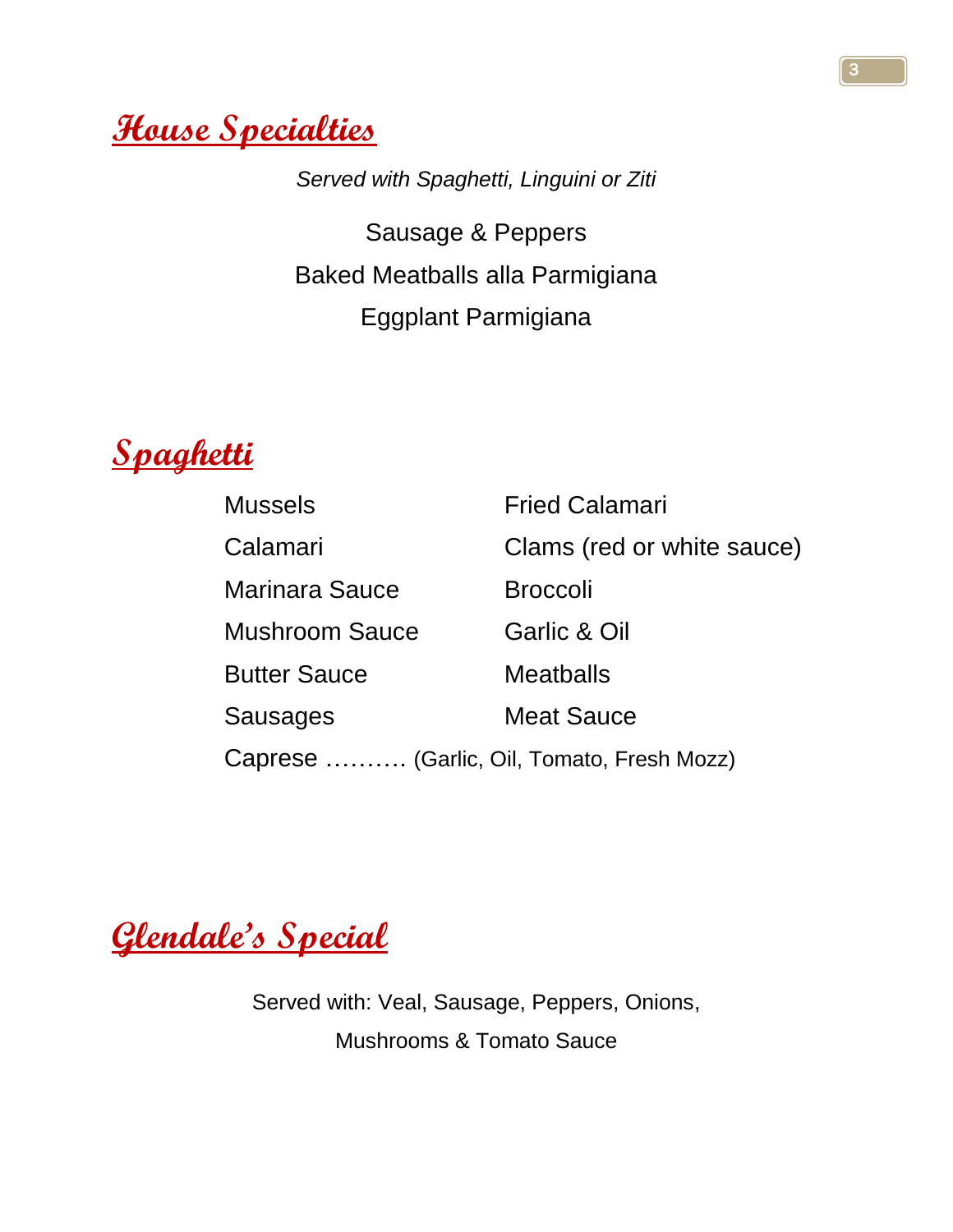**House Specialties**

*Served with Spaghetti, Linguini or Ziti*

Sausage & Peppers Baked Meatballs alla Parmigiana Eggplant Parmigiana



| <b>Mussels</b>                             | <b>Fried Calamari</b>      |
|--------------------------------------------|----------------------------|
| Calamari                                   | Clams (red or white sauce) |
| Marinara Sauce                             | <b>Broccoli</b>            |
| <b>Mushroom Sauce</b>                      | <b>Garlic &amp; Oil</b>    |
| <b>Butter Sauce</b>                        | <b>Meatballs</b>           |
| Sausages                                   | <b>Meat Sauce</b>          |
| Caprese  (Garlic, Oil, Tomato, Fresh Mozz) |                            |

**Glendale's Special**

Served with: Veal, Sausage, Peppers, Onions, Mushrooms & Tomato Sauce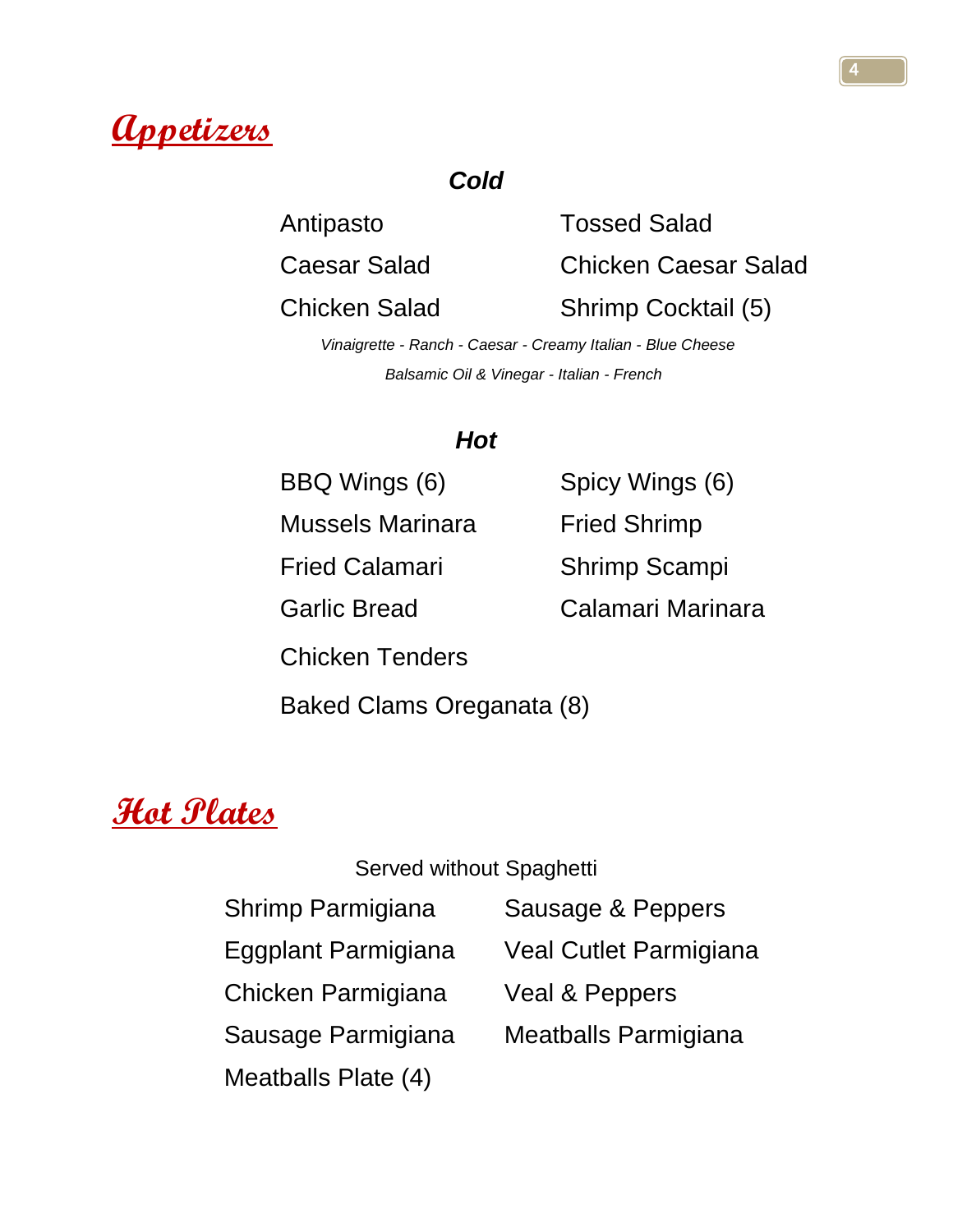

### *Cold*

Antipasto Tossed Salad

Caesar Salad Chicken Caesar Salad

Chicken Salad Shrimp Cocktail (5)

 *Vinaigrette - Ranch - Caesar - Creamy Italian - Blue Cheese Balsamic Oil & Vinegar - Italian - French*

### *Hot*

BBQ Wings (6) Spicy Wings (6)

Mussels Marinara Fried Shrimp

Fried Calamari Shrimp Scampi

Garlic Bread Calamari Marinara

Chicken Tenders

Baked Clams Oreganata (8)

## **Hot Plates**

#### Served without Spaghetti

- 
- 
- 
- 
- Meatballs Plate (4)
- Shrimp Parmigiana Sausage & Peppers
- Eggplant Parmigiana Veal Cutlet Parmigiana
- Chicken Parmigiana Veal & Peppers
- Sausage Parmigiana Meatballs Parmigiana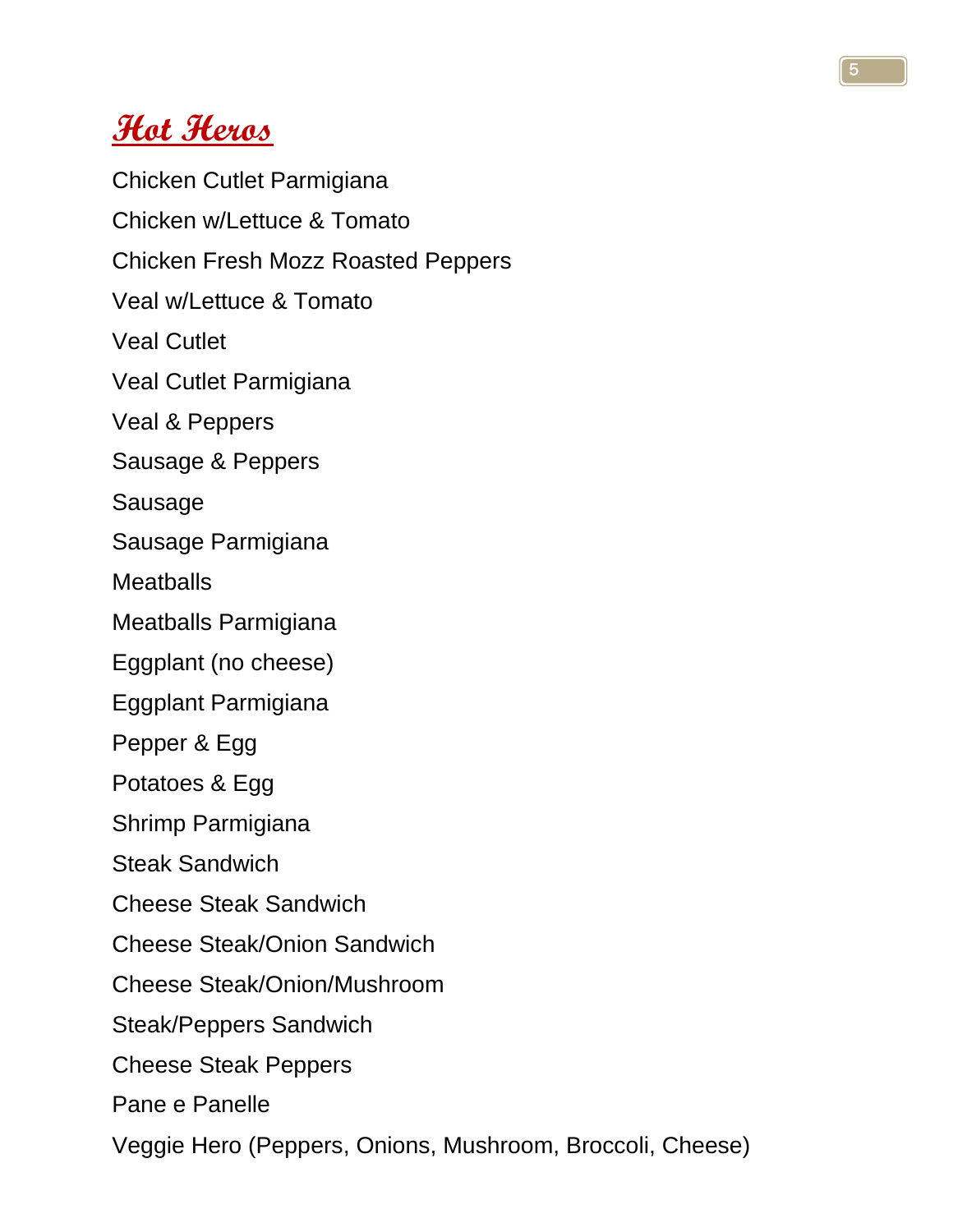## **Hot Heros**

Chicken Cutlet Parmigiana Chicken w/Lettuce & Tomato Chicken Fresh Mozz Roasted Peppers Veal w/Lettuce & Tomato Veal Cutlet Veal Cutlet Parmigiana Veal & Peppers Sausage & Peppers Sausage Sausage Parmigiana **Meatballs** Meatballs Parmigiana Eggplant (no cheese) Eggplant Parmigiana Pepper & Egg Potatoes & Egg Shrimp Parmigiana Steak Sandwich Cheese Steak Sandwich Cheese Steak/Onion Sandwich Cheese Steak/Onion/Mushroom Steak/Peppers Sandwich Cheese Steak Peppers Pane e Panelle Veggie Hero (Peppers, Onions, Mushroom, Broccoli, Cheese)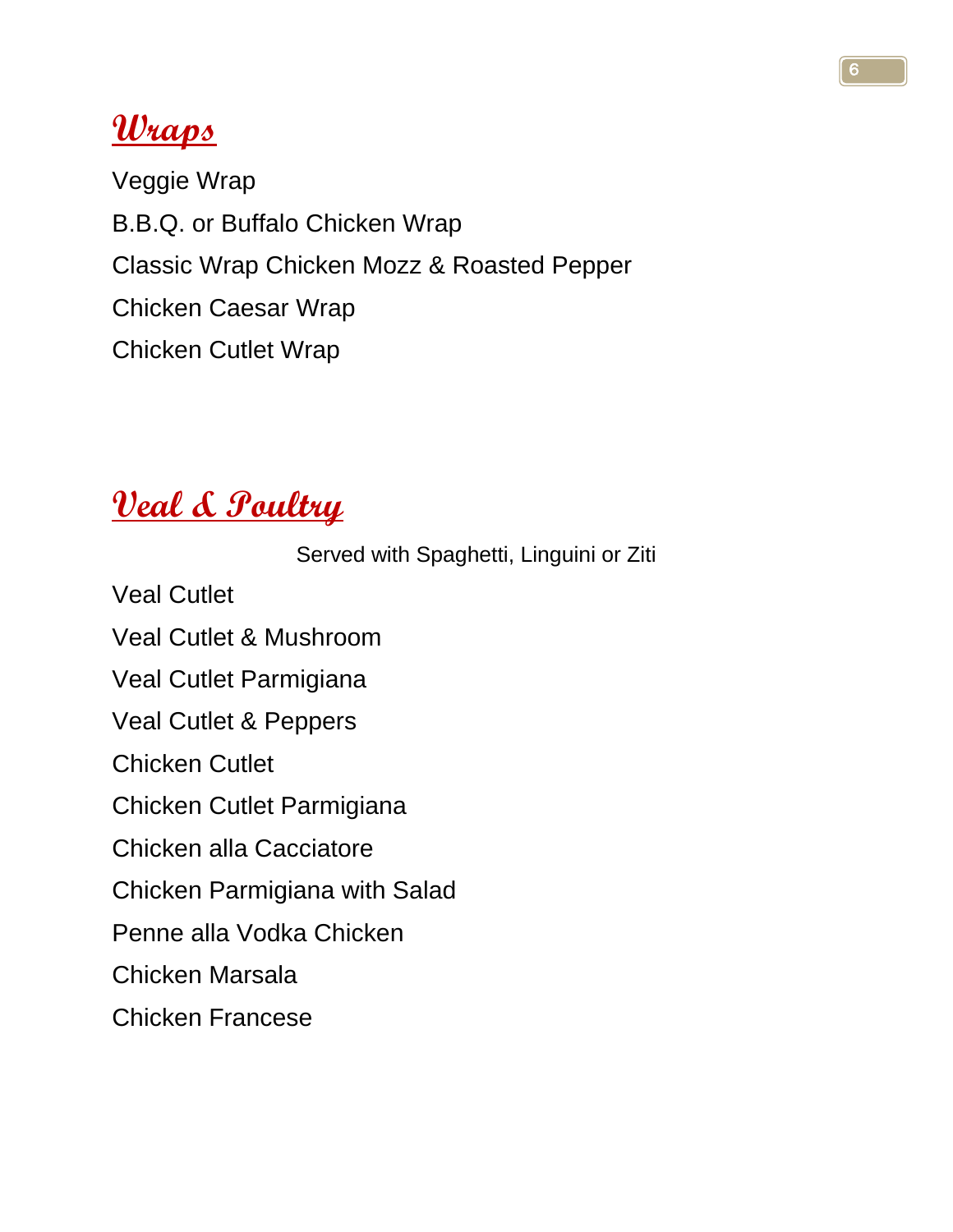## **Wraps**

Veggie Wrap B.B.Q. or Buffalo Chicken Wrap Classic Wrap Chicken Mozz & Roasted Pepper Chicken Caesar Wrap Chicken Cutlet Wrap

# **Veal & Poultry**

Served with Spaghetti, Linguini or Ziti

Veal Cutlet

Veal Cutlet & Mushroom

Veal Cutlet Parmigiana

Veal Cutlet & Peppers

Chicken Cutlet

Chicken Cutlet Parmigiana

Chicken alla Cacciatore

Chicken Parmigiana with Salad

Penne alla Vodka Chicken

Chicken Marsala

Chicken Francese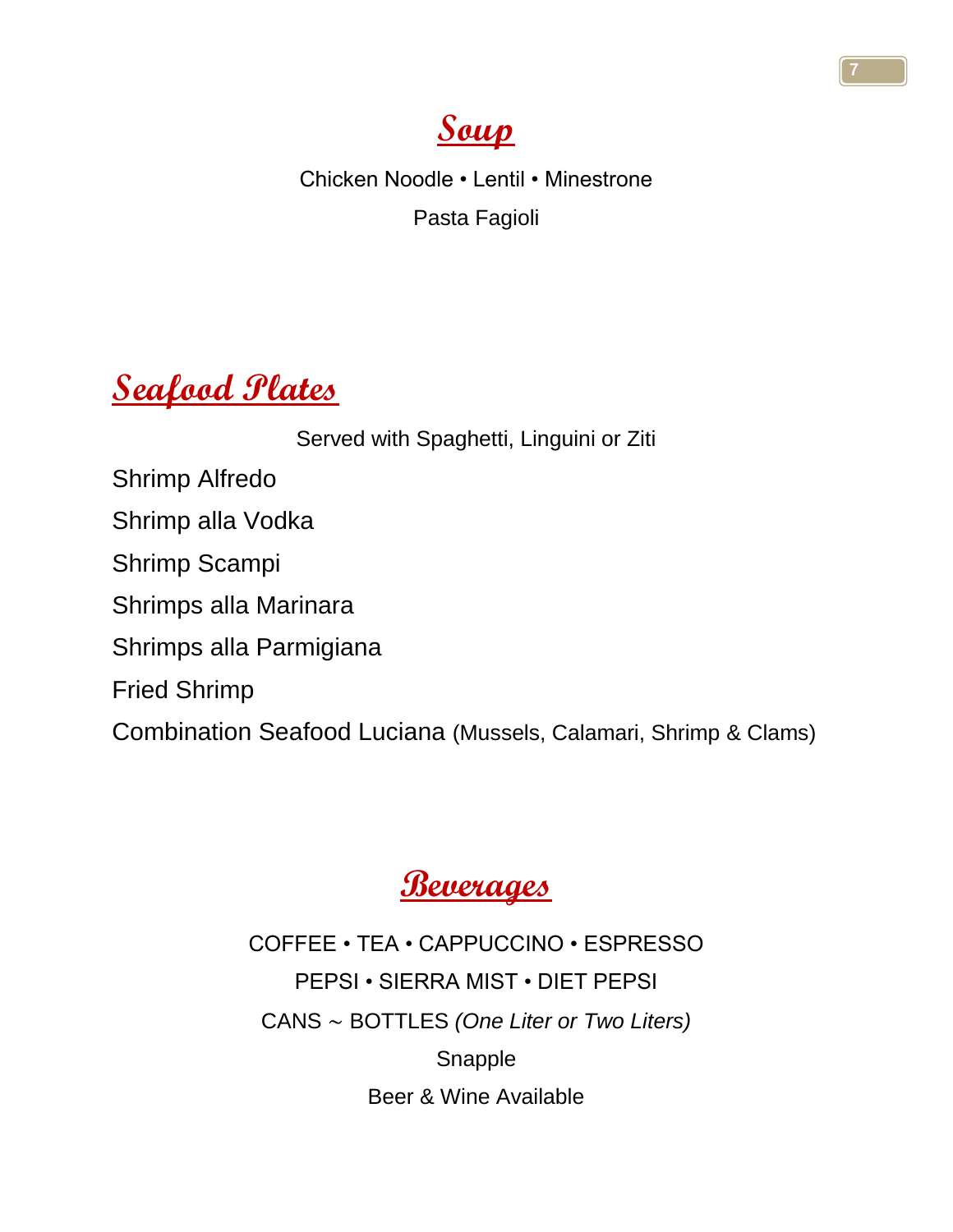

Chicken Noodle • Lentil • Minestrone Pasta Fagioli

## **Seafood Plates**

Served with Spaghetti, Linguini or Ziti Shrimp Alfredo Shrimp alla Vodka Shrimp Scampi Shrimps alla Marinara Shrimps alla Parmigiana Fried Shrimp Combination Seafood Luciana (Mussels, Calamari, Shrimp & Clams)



COFFEE • TEA • CAPPUCCINO • ESPRESSO PEPSI • SIERRA MIST • DIET PEPSI CANS ~ BOTTLES *(One Liter or Two Liters)* Snapple Beer & Wine Available

7